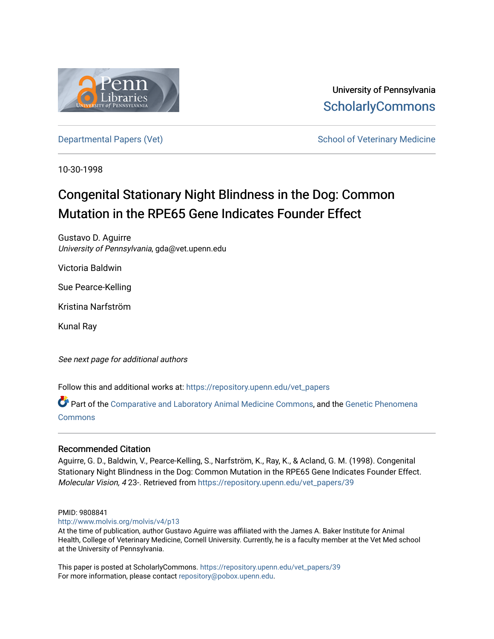

University of Pennsylvania **ScholarlyCommons** 

[Departmental Papers \(Vet\)](https://repository.upenn.edu/vet_papers) and School of Veterinary Medicine

10-30-1998

# Congenital Stationary Night Blindness in the Dog: Common Mutation in the RPE65 Gene Indicates Founder Effect

Gustavo D. Aguirre University of Pennsylvania, gda@vet.upenn.edu

Victoria Baldwin

Sue Pearce-Kelling

Kristina Narfström

Kunal Ray

See next page for additional authors

Follow this and additional works at: [https://repository.upenn.edu/vet\\_papers](https://repository.upenn.edu/vet_papers?utm_source=repository.upenn.edu%2Fvet_papers%2F39&utm_medium=PDF&utm_campaign=PDFCoverPages) 

Part of the [Comparative and Laboratory Animal Medicine Commons](http://network.bepress.com/hgg/discipline/768?utm_source=repository.upenn.edu%2Fvet_papers%2F39&utm_medium=PDF&utm_campaign=PDFCoverPages), and the [Genetic Phenomena](http://network.bepress.com/hgg/discipline/934?utm_source=repository.upenn.edu%2Fvet_papers%2F39&utm_medium=PDF&utm_campaign=PDFCoverPages)  [Commons](http://network.bepress.com/hgg/discipline/934?utm_source=repository.upenn.edu%2Fvet_papers%2F39&utm_medium=PDF&utm_campaign=PDFCoverPages)

## Recommended Citation

Aguirre, G. D., Baldwin, V., Pearce-Kelling, S., Narfström, K., Ray, K., & Acland, G. M. (1998). Congenital Stationary Night Blindness in the Dog: Common Mutation in the RPE65 Gene Indicates Founder Effect. Molecular Vision, 4 23-. Retrieved from [https://repository.upenn.edu/vet\\_papers/39](https://repository.upenn.edu/vet_papers/39?utm_source=repository.upenn.edu%2Fvet_papers%2F39&utm_medium=PDF&utm_campaign=PDFCoverPages) 

#### PMID: 9808841

<http://www.molvis.org/molvis/v4/p13>

At the time of publication, author Gustavo Aguirre was affiliated with the James A. Baker Institute for Animal Health, College of Veterinary Medicine, Cornell University. Currently, he is a faculty member at the Vet Med school at the University of Pennsylvania.

This paper is posted at ScholarlyCommons. [https://repository.upenn.edu/vet\\_papers/39](https://repository.upenn.edu/vet_papers/39) For more information, please contact [repository@pobox.upenn.edu.](mailto:repository@pobox.upenn.edu)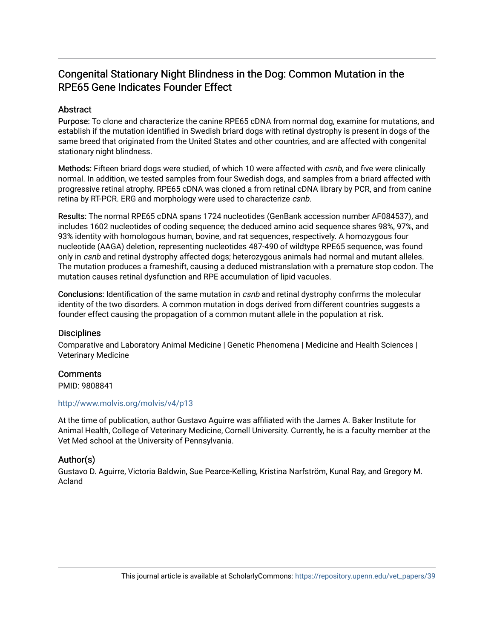## Congenital Stationary Night Blindness in the Dog: Common Mutation in the RPE65 Gene Indicates Founder Effect

## **Abstract**

Purpose: To clone and characterize the canine RPE65 cDNA from normal dog, examine for mutations, and establish if the mutation identified in Swedish briard dogs with retinal dystrophy is present in dogs of the same breed that originated from the United States and other countries, and are affected with congenital stationary night blindness.

Methods: Fifteen briard dogs were studied, of which 10 were affected with csnb, and five were clinically normal. In addition, we tested samples from four Swedish dogs, and samples from a briard affected with progressive retinal atrophy. RPE65 cDNA was cloned a from retinal cDNA library by PCR, and from canine retina by RT-PCR. ERG and morphology were used to characterize csnb.

Results: The normal RPE65 cDNA spans 1724 nucleotides (GenBank accession number AF084537), and includes 1602 nucleotides of coding sequence; the deduced amino acid sequence shares 98%, 97%, and 93% identity with homologous human, bovine, and rat sequences, respectively. A homozygous four nucleotide (AAGA) deletion, representing nucleotides 487-490 of wildtype RPE65 sequence, was found only in csnb and retinal dystrophy affected dogs; heterozygous animals had normal and mutant alleles. The mutation produces a frameshift, causing a deduced mistranslation with a premature stop codon. The mutation causes retinal dysfunction and RPE accumulation of lipid vacuoles.

Conclusions: Identification of the same mutation in csnb and retinal dystrophy confirms the molecular identity of the two disorders. A common mutation in dogs derived from different countries suggests a founder effect causing the propagation of a common mutant allele in the population at risk.

## **Disciplines**

Comparative and Laboratory Animal Medicine | Genetic Phenomena | Medicine and Health Sciences | Veterinary Medicine

## **Comments**

PMID: 9808841

### <http://www.molvis.org/molvis/v4/p13>

At the time of publication, author Gustavo Aguirre was affiliated with the James A. Baker Institute for Animal Health, College of Veterinary Medicine, Cornell University. Currently, he is a faculty member at the Vet Med school at the University of Pennsylvania.

## Author(s)

Gustavo D. Aguirre, Victoria Baldwin, Sue Pearce-Kelling, Kristina Narfström, Kunal Ray, and Gregory M. Acland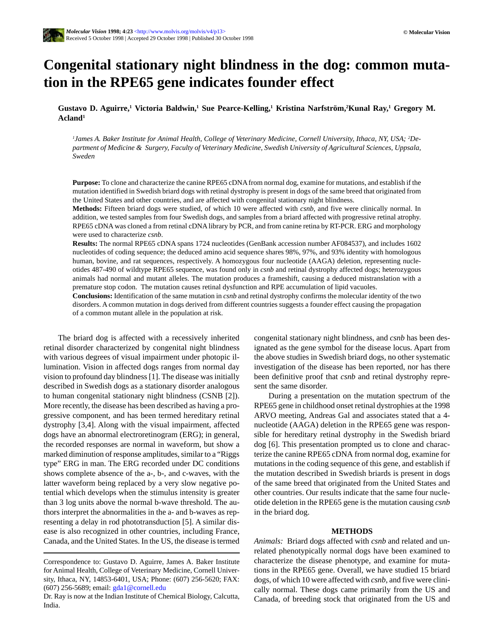

## **Congenital stationary night blindness in the dog: common mutation in the RPE65 gene indicates founder effect**

**Gustavo D. Aguirre, 1 Victoria Baldwin,1 Sue Pearce-Kelling,1 Kristina Narfström,2 Kunal Ray,1 Gregory M. Acland1**

*1 James A. Baker Institute for Animal Health, College of Veterinary Medicine, Cornell University, Ithaca, NY, USA; 2 Department of Medicine & Surgery, Faculty of Veterinary Medicine, Swedish University of Agricultural Sciences, Uppsala, Sweden*

**Purpose:** To clone and characterize the canine RPE65 cDNA from normal dog, examine for mutations, and establish if the mutation identified in Swedish briard dogs with retinal dystrophy is present in dogs of the same breed that originated from the United States and other countries, and are affected with congenital stationary night blindness.

**Methods:** Fifteen briard dogs were studied, of which 10 were affected with *csnb*, and five were clinically normal. In addition, we tested samples from four Swedish dogs, and samples from a briard affected with progressive retinal atrophy. RPE65 cDNA was cloned a from retinal cDNA library by PCR, and from canine retina by RT-PCR. ERG and morphology were used to characterize *csnb*.

**Results:** The normal RPE65 cDNA spans 1724 nucleotides (GenBank accession number AF084537), and includes 1602 nucleotides of coding sequence; the deduced amino acid sequence shares 98%, 97%, and 93% identity with homologous human, bovine, and rat sequences, respectively. A homozygous four nucleotide (AAGA) deletion, representing nucleotides 487-490 of wildtype RPE65 sequence, was found only in *csnb* and retinal dystrophy affected dogs; heterozygous animals had normal and mutant alleles. The mutation produces a frameshift, causing a deduced mistranslation with a premature stop codon. The mutation causes retinal dysfunction and RPE accumulation of lipid vacuoles.

**Conclusions:** Identification of the same mutation in *csnb* and retinal dystrophy confirms the molecular identity of the two disorders. A common mutation in dogs derived from different countries suggests a founder effect causing the propagation of a common mutant allele in the population at risk.

The briard dog is affected with a recessively inherited retinal disorder characterized by congenital night blindness with various degrees of visual impairment under photopic illumination. Vision in affected dogs ranges from normal day vision to profound day blindness [1]. The disease was initially described in Swedish dogs as a stationary disorder analogous to human congenital stationary night blindness (CSNB [2]). More recently, the disease has been described as having a progressive component, and has been termed hereditary retinal dystrophy [3,4]. Along with the visual impairment, affected dogs have an abnormal electroretinogram (ERG); in general, the recorded responses are normal in waveform, but show a marked diminution of response amplitudes, similar to a "Riggs type" ERG in man. The ERG recorded under DC conditions shows complete absence of the a-, b-, and c-waves, with the latter waveform being replaced by a very slow negative potential which develops when the stimulus intensity is greater than 3 log units above the normal b-wave threshold. The authors interpret the abnormalities in the a- and b-waves as representing a delay in rod phototransduction [5]. A similar disease is also recognized in other countries, including France, Canada, and the United States. In the US, the disease is termed congenital stationary night blindness, and *csnb* has been designated as the gene symbol for the disease locus. Apart from the above studies in Swedish briard dogs, no other systematic investigation of the disease has been reported, nor has there been definitive proof that *csnb* and retinal dystrophy represent the same disorder.

During a presentation on the mutation spectrum of the RPE65 gene in childhood onset retinal dystrophies at the 1998 ARVO meeting, Andreas Gal and associates stated that a 4 nucleotide (AAGA) deletion in the RPE65 gene was responsible for hereditary retinal dystrophy in the Swedish briard dog [6]. This presentation prompted us to clone and characterize the canine RPE65 cDNA from normal dog, examine for mutations in the coding sequence of this gene, and establish if the mutation described in Swedish briards is present in dogs of the same breed that originated from the United States and other countries. Our results indicate that the same four nucleotide deletion in the RPE65 gene is the mutation causing *csnb* in the briard dog.

#### **METHODS**

*Animals:* Briard dogs affected with *csnb* and related and unrelated phenotypically normal dogs have been examined to characterize the disease phenotype, and examine for mutations in the RPE65 gene. Overall, we have studied 15 briard dogs, of which 10 were affected with *csnb*, and five were clinically normal. These dogs came primarily from the US and Canada, of breeding stock that originated from the US and

Correspondence to: Gustavo D. Aguirre, James A. Baker Institute for Animal Health, College of Veterinary Medicine, Cornell University, Ithaca, NY, 14853-6401, USA; Phone: (607) 256-5620; FAX: (607) 256-5689; email: gda1@cornell.edu

Dr. Ray is now at the Indian Institute of Chemical Biology, Calcutta, India.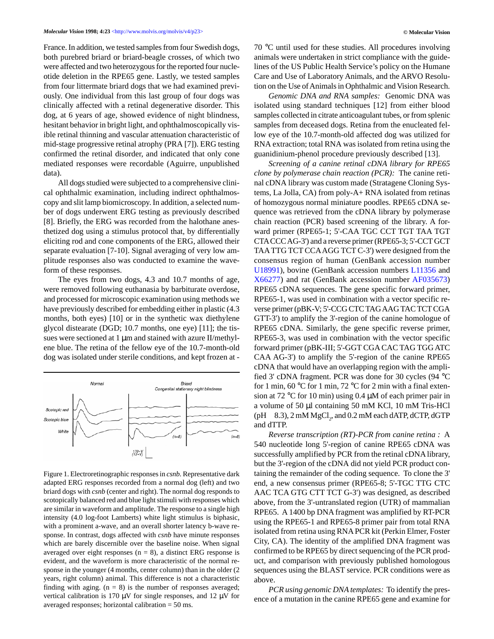France. In addition, we tested samples from four Swedish dogs, both purebred briard or briard-beagle crosses, of which two were affected and two heterozygous for the reported four nucleotide deletion in the RPE65 gene. Lastly, we tested samples from four littermate briard dogs that we had examined previously. One individual from this last group of four dogs was clinically affected with a retinal degenerative disorder. This dog, at 6 years of age, showed evidence of night blindness, hesitant behavior in bright light, and ophthalmoscopically visible retinal thinning and vascular attenuation characteristic of mid-stage progressive retinal atrophy (PRA [7]). ERG testing confirmed the retinal disorder, and indicated that only cone mediated responses were recordable (Aguirre, unpublished data).

All dogs studied were subjected to a comprehensive clinical ophthalmic examination, including indirect ophthalmoscopy and slit lamp biomicroscopy. In addition, a selected number of dogs underwent ERG testing as previously described [8]. Briefly, the ERG was recorded from the halothane anesthetized dog using a stimulus protocol that, by differentially eliciting rod and cone components of the ERG, allowed their separate evaluation [7-10]. Signal averaging of very low amplitude responses also was conducted to examine the waveform of these responses.

The eyes from two dogs, 4.3 and 10.7 months of age, were removed following euthanasia by barbiturate overdose, and processed for microscopic examination using methods we have previously described for embedding either in plastic (4.3 months, both eyes) [10] or in the synthetic wax diethylene glycol distearate (DGD; 10.7 months, one eye) [11]; the tissues were sectioned at 1  $\mu$ m and stained with azure II/methylene blue. The retina of the fellow eye of the 10.7-month-old dog was isolated under sterile conditions, and kept frozen at -



Figure 1. Electroretinographic responses in *csnb.* Representative dark adapted ERG responses recorded from a normal dog (left) and two briard dogs with *csnb* (center and right). The normal dog responds to scotopically balanced red and blue light stimuli with responses which are similar in waveform and amplitude. The response to a single high intensity (4.0 log-foot Lamberts) white light stimulus is biphasic, with a prominent a-wave, and an overall shorter latency b-wave response. In contrast, dogs affected with *csnb* have minute responses which are barely discernible over the baseline noise. When signal averaged over eight responses ( $n = 8$ ), a distinct ERG response is evident, and the waveform is more characteristic of the normal response in the younger (4 months, center column) than in the older (2 years, right column) animal. This difference is not a characteristic finding with aging.  $(n = 8)$  is the number of responses averaged; vertical calibration is 170  $\mu$ V for single responses, and 12  $\mu$ V for averaged responses; horizontal calibration = 50 ms.

70 °C until used for these studies. All procedures involving animals were undertaken in strict compliance with the guidelines of the US Public Health Service's policy on the Humane Care and Use of Laboratory Animals, and the ARVO Resolution on the Use of Animals in Ophthalmic and Vision Research.

*Genomic DNA and RNA samples:* Genomic DNA was isolated using standard techniques [12] from either blood samples collected in citrate anticoagulant tubes, or from splenic samples from deceased dogs. Retina from the enucleated fellow eye of the 10.7-month-old affected dog was utilized for RNA extraction; total RNA was isolated from retina using the guanidinium-phenol procedure previously described [13].

*Screening of a canine retinal cDNA library for RPE65 clone by polymerase chain reaction (PCR):* The canine retinal cDNA library was custom made (Stratagene Cloning Systems, La Jolla, CA) from poly-A+ RNA isolated from retinas of homozygous normal miniature poodles. RPE65 cDNA sequence was retrieved from the cDNA library by polymerase chain reaction (PCR) based screening of the library. A forward primer (RPE65-1; 5'-CAA TGC CCT TGT TAA TGT CTA CCC AG-3') and a reverse primer (RPE65-3; 5'-CCT GCT TAA TTG TCT CCA AGG TCT C-3') were designed from the consensus region of human (GenBank accession number U18991), bovine (GenBank accession numbers L11356 and X66277) and rat (GenBank accession number AF035673) RPE65 cDNA sequences. The gene specific forward primer, RPE65-1, was used in combination with a vector specific reverse primer (pBK-V; 5'-CCG CTC TAG AAG TAC TCT CGA GTT-3') to amplify the 3'-region of the canine homologue of RPE65 cDNA. Similarly, the gene specific reverse primer, RPE65-3, was used in combination with the vector specific forward primer (pBK-III; 5'-GGT CGA CAC TAG TGG ATC CAA AG-3') to amplify the 5'-region of the canine RPE65 cDNA that would have an overlapping region with the amplified 3' cDNA fragment. PCR was done for 30 cycles (94 °C for 1 min, 60 °C for 1 min, 72 °C for 2 min with a final extension at  $72 \text{ °C}$  for 10 min) using 0.4  $\mu$ M of each primer pair in a volume of 50 µl containing 50 mM KCl, 10 mM Tris-HCl (pH  $8.3$ ), 2 mM MgCl<sub>2</sub>, and 0.2 mM each dATP, dCTP, dGTP and dTTP.

*Reverse transcription (RT)-PCR from canine retina :* A 540 nucleotide long 5'-region of canine RPE65 cDNA was successfully amplified by PCR from the retinal cDNA library, but the 3'-region of the cDNA did not yield PCR product containing the remainder of the coding sequence. To clone the 3' end, a new consensus primer (RPE65-8; 5'-TGC TTG CTC AAC TCA GTG CTT TCT G-3') was designed, as described above, from the 3'-untranslated region (UTR) of mammalian RPE65. A 1400 bp DNA fragment was amplified by RT-PCR using the RPE65-1 and RPE65-8 primer pair from total RNA isolated from retina using RNA PCR kit (Perkin Elmer, Foster City, CA). The identity of the amplified DNA fragment was confirmed to be RPE65 by direct sequencing of the PCR product, and comparison with previously published homologous sequences using the BLAST service. PCR conditions were as above.

*PCR using genomic DNA templates:* To identify the presence of a mutation in the canine RPE65 gene and examine for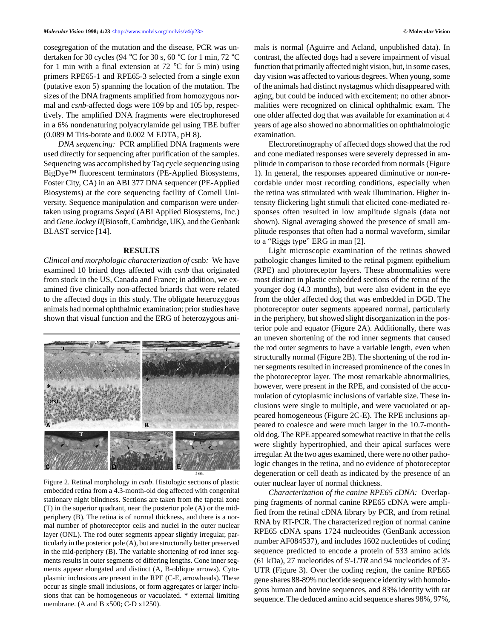cosegregation of the mutation and the disease, PCR was undertaken for 30 cycles (94 °C for 30 s, 60 °C for 1 min, 72 °C for 1 min with a final extension at 72  $\degree$ C for 5 min) using primers RPE65-1 and RPE65-3 selected from a single exon (putative exon 5) spanning the location of the mutation. The sizes of the DNA fragments amplified from homozygous normal and *csnb*-affected dogs were 109 bp and 105 bp, respectively. The amplified DNA fragments were electrophoresed in a 6% nondenaturing polyacrylamide gel using TBE buffer (0.089 M Tris-borate and 0.002 M EDTA, pH 8).

*DNA sequencing:* PCR amplified DNA fragments were used directly for sequencing after purification of the samples. Sequencing was accomplished by Taq cycle sequencing using BigDye™ fluorescent terminators (PE-Applied Biosystems, Foster City, CA) in an ABI 377 DNA sequencer (PE-Applied Biosystems) at the core sequencing facility of Cornell University. Sequence manipulation and comparison were undertaken using programs *Seqed* (ABI Applied Biosystems, Inc.) and *Gene Jockey II*(Biosoft, Cambridge, UK), and the Genbank BLAST service [14].

#### **RESULTS**

*Clinical and morphologic characterization of* csnb*:* We have examined 10 briard dogs affected with *csnb* that originated from stock in the US, Canada and France; in addition, we examined five clinically non-affected briards that were related to the affected dogs in this study. The obligate heterozygous animals had normal ophthalmic examination; prior studies have shown that visual function and the ERG of heterozygous ani-



Figure 2. Retinal morphology in *csnb*. Histologic sections of plastic embedded retina from a 4.3-month-old dog affected with congenital stationary night blindness. Sections are taken from the tapetal zone (T) in the superior quadrant, near the posterior pole (A) or the midperiphery (B). The retina is of normal thickness, and there is a normal number of photoreceptor cells and nuclei in the outer nuclear layer (ONL). The rod outer segments appear slightly irregular, particularly in the posterior pole (A), but are structurally better preserved in the mid-periphery (B). The variable shortening of rod inner segments results in outer segments of differing lengths. Cone inner segments appear elongated and distinct (A, B-oblique arrows). Cytoplasmic inclusions are present in the RPE (C-E, arrowheads). These occur as single small inclusions, or form aggregates or larger inclusions that can be homogeneous or vacuolated. \* external limiting membrane. (A and B x500; C-D x1250).

mals is normal (Aguirre and Acland, unpublished data). In contrast, the affected dogs had a severe impairment of visual function that primarily affected night vision, but, in some cases, day vision was affected to various degrees. When young, some of the animals had distinct nystagmus which disappeared with aging, but could be induced with excitement; no other abnormalities were recognized on clinical ophthalmic exam. The one older affected dog that was available for examination at 4 years of age also showed no abnormalities on ophthalmologic examination.

Electroretinography of affected dogs showed that the rod and cone mediated responses were severely depressed in amplitude in comparison to those recorded from normals (Figure 1). In general, the responses appeared diminutive or non-recordable under most recording conditions, especially when the retina was stimulated with weak illumination. Higher intensity flickering light stimuli that elicited cone-mediated responses often resulted in low amplitude signals (data not shown). Signal averaging showed the presence of small amplitude responses that often had a normal waveform, similar to a "Riggs type" ERG in man [2].

Light microscopic examination of the retinas showed pathologic changes limited to the retinal pigment epithelium (RPE) and photoreceptor layers. These abnormalities were most distinct in plastic embedded sections of the retina of the younger dog (4.3 months), but were also evident in the eye from the older affected dog that was embedded in DGD. The photoreceptor outer segments appeared normal, particularly in the periphery, but showed slight disorganization in the posterior pole and equator (Figure 2A). Additionally, there was an uneven shortening of the rod inner segments that caused the rod outer segments to have a variable length, even when structurally normal (Figure 2B). The shortening of the rod inner segments resulted in increased prominence of the cones in the photoreceptor layer. The most remarkable abnormalities, however, were present in the RPE, and consisted of the accumulation of cytoplasmic inclusions of variable size. These inclusions were single to multiple, and were vacuolated or appeared homogeneous (Figure 2C-E). The RPE inclusions appeared to coalesce and were much larger in the 10.7-monthold dog. The RPE appeared somewhat reactive in that the cells were slightly hypertrophied, and their apical surfaces were irregular. At the two ages examined, there were no other pathologic changes in the retina, and no evidence of photoreceptor degeneration or cell death as indicated by the presence of an outer nuclear layer of normal thickness.

*Characterization of the canine RPE65 cDNA:* Overlapping fragments of normal canine RPE65 cDNA were amplified from the retinal cDNA library by PCR, and from retinal RNA by RT-PCR. The characterized region of normal canine RPE65 cDNA spans 1724 nucleotides (GenBank accession number AF084537), and includes 1602 nucleotides of coding sequence predicted to encode a protein of 533 amino acids (61 kDa), 27 nucleotides of 5'-*UTR* and 94 nucleotides of 3'- UTR (Figure 3). Over the coding region, the canine RPE65 gene shares 88-89% nucleotide sequence identity with homologous human and bovine sequences, and 83% identity with rat sequence. The deduced amino acid sequence shares 98%, 97%,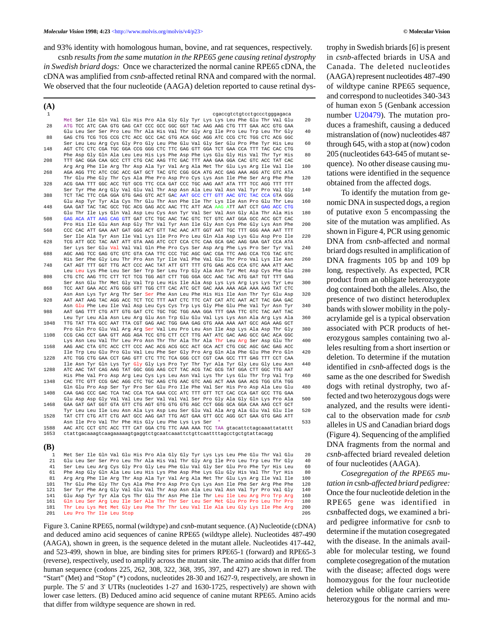and 93% identity with homologous human, bovine, and rat sequences, respectively.

csnb *results from the same mutation in the RPE65 gene causing retinal dystrophy in Swedish briard dogs:* Once we characterized the normal canine RPE65 cDNA, the cDNA was amplified from *csnb*-affected retinal RNA and compared with the normal. We observed that the four nucleotide (AAGA) deletion reported to cause retinal dys-

| (A)          |  |  |                                                                                                                                                                    |  |  |  |                             |  |  |  |            |
|--------------|--|--|--------------------------------------------------------------------------------------------------------------------------------------------------------------------|--|--|--|-----------------------------|--|--|--|------------|
| 1            |  |  |                                                                                                                                                                    |  |  |  | cgaccgtctgtcctgccctgggagaca |  |  |  |            |
|              |  |  | Met Ser Ile Gln Val Glu His Pro Ala Gly Gly Tyr Lys Lys Leu Phe Glu Thr Val Glu                                                                                    |  |  |  |                             |  |  |  | 20         |
| 28           |  |  | ATG TCC ATC CAA GTG GAG CAT CCC GCC GGC GGT TAC AAG AAG CTG TTT GAA ACC GTG GAA                                                                                    |  |  |  |                             |  |  |  |            |
|              |  |  | Glu Leu Ser Ser Pro Leu Thr Ala His Val Thr Gly Arg Ile Pro Leu Trp Leu Thr Gly                                                                                    |  |  |  |                             |  |  |  | 40         |
| 88           |  |  | GAG CTG TCG TCG CCG CTC ACC GCC CAC GTG ACA GGC AGG ATC CCG CTC TGG CTC ACG GGC                                                                                    |  |  |  |                             |  |  |  |            |
| 148          |  |  | Ser Leu Leu Arg Cys Gly Pro Gly Leu Phe Glu Val Gly Ser Glu Pro Phe Tyr His Leu<br>AGT CTC CTC CGA TGC GGA CCG GGG CTC TTC GAG GTT GGA TCT GAA CCA TTT TAC CAC CTG |  |  |  |                             |  |  |  | 60         |
|              |  |  | Phe Asp Gly Gln Ala Leu Leu His Lys Phe Asp Phe Lys Glu Gly His Val Thr Tyr His                                                                                    |  |  |  |                             |  |  |  | 80         |
| 208          |  |  | TTT GAC GGA CAA GCC CTT CTG CAC AAG TTC GAC TTT AAA GAA GGA CAC GTC ACC TAT CAC                                                                                    |  |  |  |                             |  |  |  |            |
|              |  |  | Arg Arg Phe Ile Arg Thr Asp Ala Tyr Val Arg Ala Met Thr Glu Lys Arg Ile Val Ile                                                                                    |  |  |  |                             |  |  |  | 100        |
| 268          |  |  | AGA AGG TTC ATC CGC ACC GAT GCT TAC GTC CGG GCA ATG ACC GAG AAA AGG ATC GTC ATA                                                                                    |  |  |  |                             |  |  |  |            |
|              |  |  | Thr Glu Phe Gly Thr Cys Ala Phe Pro Asp Pro Cys Lys Asn Ile Phe Ser Arg Phe Phe                                                                                    |  |  |  |                             |  |  |  | 120        |
| 328          |  |  | ACG GAA TTT GGC ACC TGT GCG TTC CCA GAT CCC TGC AAG AAT ATA TTT TCC AGG TTT TTT                                                                                    |  |  |  |                             |  |  |  | 140        |
| 388          |  |  | Ser Tyr Phe Arg Gly Val Glu Val Thr Asp Asn Ala Leu Val Asn Val Tyr Pro Val Gly<br>TCT TAC TTC CGA GGA GTG GAG GTC ACT GAC AAT GCC CTT GTT AAC GTC TAC CCA GTA GGG |  |  |  |                             |  |  |  |            |
|              |  |  | Glu Asp Tyr Tyr Ala Cys Thr Glu Thr Asn Phe Ile Thr Lys Ile Asn Pro Glu Thr Leu                                                                                    |  |  |  |                             |  |  |  | 160        |
| 448          |  |  | GAA GAT TAC TAC GCC TGC ACG GAG ACC AAC TTC ATT ACA AAG ATT AAT CCT GAG ACC CTG                                                                                    |  |  |  |                             |  |  |  |            |
|              |  |  | Glu Thr Ile Lys Gln Val Asp Leu Cys Asn Tyr Val Ser Val Asn Gly Ala Thr Ala His                                                                                    |  |  |  |                             |  |  |  | 180        |
| 508          |  |  | GAG ACA ATT AAG CAG GTT GAT CTC TGC AAC TAC GTC TCT GTC AAT GGA GCC ACC GCT CAC                                                                                    |  |  |  |                             |  |  |  |            |
|              |  |  | Pro His Ile Glu Asn Asp Gly Thr Val Tyr Asn Ile Gly Asn Cys Phe Gly Lys Asn Phe                                                                                    |  |  |  |                             |  |  |  | 200        |
| 568          |  |  | CCC CAC ATT GAA AAT GAT GGG ACT GTT TAC AAC ATT GGT AAT TGC TTT GGG AAA AAT TTT                                                                                    |  |  |  |                             |  |  |  | 220        |
| 628          |  |  | Ser Ile Ala Tyr Asn Ile Val Lys Ile Pro Pro Leu Gln Ala Asp Lys Glu Asp Pro Ile<br>TCG ATT GCC TAC AAT ATT GTA AAG ATC CCT CCA CTC CAA GCA GAC AAG GAA GAT CCA ATA |  |  |  |                             |  |  |  |            |
|              |  |  | Ser Lys Ser Glu Val Val Val Gln Phe Pro Cys Ser Asp Arg Phe Lys Pro Ser Tyr Val                                                                                    |  |  |  |                             |  |  |  | 240        |
| 688          |  |  | AGC AAG TCC GAG GTC GTC GTA CAA TTC CCC TGC AGC GAC CGA TTC AAG CCA TCG TAC GTC                                                                                    |  |  |  |                             |  |  |  |            |
|              |  |  | His Ser Phe Gly Leu Thr Pro Asn Tyr Ile Val Phe Val Glu Thr Pro Val Lys Ile Asn                                                                                    |  |  |  |                             |  |  |  | 260        |
| 748          |  |  | CAT AGT TTT GGT TTG ACT CCC AAC TAT ATT GTT TTT GTG GAG ACG CCA GTC AAA ATT AAC                                                                                    |  |  |  |                             |  |  |  |            |
|              |  |  | Leu Leu Lys Phe Leu Ser Ser Trp Ser Leu Trp Gly Ala Asn Tyr Met Asp Cys Phe Glu                                                                                    |  |  |  |                             |  |  |  | 280        |
| 808          |  |  | CTG CTC AAG TTC CTT TCT TCG TGG AGT CTT TGG GGA GCC AAC TAC ATG GAT TGT TTT GAG                                                                                    |  |  |  |                             |  |  |  |            |
| 868          |  |  | Ser Asn Glu Thr Met Gly Val Trp Leu His Ile Ala Asp Lys Lys Arg Lys Lys Tyr Leu<br>TCC AAT GAA ACC ATG GGG GTT TGG CTT CAC ATC GCT GAC AAA AAA AGA AAA AAG TAT CTC |  |  |  |                             |  |  |  | 300        |
|              |  |  | Asn Asn Lys Tyr Arg Thr Ser Ser Phe Asn Leu Phe His His Ile Asn Thr Tyr Glu Asp                                                                                    |  |  |  |                             |  |  |  | 320        |
| 928          |  |  | AAT AAT AAG TAC AGG ACC TCT TCC TTT AAT CTC TTC CAT CAT ATC AAT ACT TAC GAA GAC                                                                                    |  |  |  |                             |  |  |  |            |
|              |  |  | Asn Glu Phe Leu Ile Val Asp Leu Cys Cys Trp Lys Gly Phe Glu Phe Val Tyr Asn Tyr                                                                                    |  |  |  |                             |  |  |  | 340        |
| 988          |  |  | AAT GAG TTT CTG ATT GTG GAT CTC TGC TGC TGG AAA GGA TTT GAA TTC GTC TAC AAT TAC                                                                                    |  |  |  |                             |  |  |  |            |
|              |  |  | Leu Tyr Leu Ala Asn Leu Arg Glu Asn Trp Glu Glu Val Lys Lys Asn Ala Arg Lys Ala                                                                                    |  |  |  |                             |  |  |  | 360        |
| 1048         |  |  | TTG TAT TTA GCC AAT TTA CGT GAG AAC TGG GAA GAG GTG AAA AAA AAT GCC AGA AAG GCT<br>Pro Gln Pro Glu Val Arg Arg Ser Val Leu Pro Leu Asn Ile Asp Lys Ala Asp Thr Gly |  |  |  |                             |  |  |  | 380        |
| 1108         |  |  | CCG CAG CCT GAA GTT AGG AGA TCC GTG CTT CCT TTG AAT ATC GAC AAG GCC GAC ACA GGC                                                                                    |  |  |  |                             |  |  |  |            |
|              |  |  | Lys Asn Leu Val Thr Leu Pro Asn Thr Thr Ala Thr Ala Thr Leu Arg Ser Asp Glu Thr                                                                                    |  |  |  |                             |  |  |  | 400        |
| 1168         |  |  | AAG AAC CTA GTC ACC CTT CCC AAC ACG ACG GCC ACT GCA ACT CTG CGC AGC GAC GAG ACC                                                                                    |  |  |  |                             |  |  |  |            |
|              |  |  | Ile Trp Leu Glu Pro Glu Val Leu Phe Ser Gly Pro Arg Gln Ala Phe Glu Phe Pro Gln                                                                                    |  |  |  |                             |  |  |  | 420        |
| 1228         |  |  | ATC TGG CTG GAA CCT GAG GTT CTC TTC TCA GGG CCT CGT CAA GCC TTT GAG TTT CCT CAA                                                                                    |  |  |  |                             |  |  |  |            |
|              |  |  | Ile Asn Tyr Gln Lys Tyr Gly Gly Lys Pro Tyr Thr Tyr Ala Tyr Gly Leu Gly Leu Asn                                                                                    |  |  |  |                             |  |  |  | 440        |
| 1288         |  |  | ATC AAC TAT CAG AAG TAT GGC GGG AAG CCT TAC ACG TAC GCG TAT GGA CTT GGC TTG AAT<br>His Phe Val Pro Asp Arg Leu Cys Lys Leu Asn Val Lys Thr Lys Glu Thr Trp Val Trp |  |  |  |                             |  |  |  | 460        |
| 1348         |  |  | CAC TTC GTT CCG GAC AGG CTC TGC AAG CTG AAC GTC AAG ACT AAA GAA ACG TGG GTA TGG                                                                                    |  |  |  |                             |  |  |  |            |
|              |  |  | Gln Glu Pro Asp Ser Tyr Pro Ser Glu Pro Ile Phe Val Ser His Pro Asp Ala Leu Glu                                                                                    |  |  |  |                             |  |  |  | 480        |
| 1408         |  |  | CAA GAG CCC GAC TCA TAC CCA TCA GAA CCC ATC TTT GTT TCT CAC CCA GAT GCC TTG GAA                                                                                    |  |  |  |                             |  |  |  |            |
|              |  |  | Glu Asp Asp Gly Val Val Leu Ser Val Val Val Ser Pro Gly Ala Gly Gln Lys Pro Ala                                                                                    |  |  |  |                             |  |  |  | 500        |
| 1468         |  |  | GAA GAT GAT GGT GTA GTT CTG AGT GTG GTG GTG AGC CCT GGG GCA GGA CAA AAG CCT GCT                                                                                    |  |  |  |                             |  |  |  |            |
|              |  |  | Tyr Leu Leu Ile Leu Asn Ala Lys Asp Leu Ser Glu Val Ala Arg Ala Glu Val Glu Ile                                                                                    |  |  |  |                             |  |  |  | 520        |
| 1528         |  |  | TAT CTT CTG ATT CTG AAT GCC AAG GAT TTG AGT GAA GTT GCC AGG GCT GAA GTG GAG ATT<br>Asn Ile Pro Val Thr Phe His Gly Leu Phe Lys Lys Ser                             |  |  |  |                             |  |  |  | 533        |
| 1588         |  |  | AAC ATC CCT GTC ACC TTT CAT GGA CTG TTC AAA AAA TCC TAA gtacattctagcaaattatattt                                                                                    |  |  |  |                             |  |  |  |            |
| 1653         |  |  | ctattgacaaagtcaagaaaaagtgaggtctgcaatcaaattctgttcaattttagcctgctgtattacagg                                                                                           |  |  |  |                             |  |  |  |            |
|              |  |  |                                                                                                                                                                    |  |  |  |                             |  |  |  |            |
| (B)          |  |  |                                                                                                                                                                    |  |  |  |                             |  |  |  |            |
| $\mathbf{1}$ |  |  | Met Ser Ile Gln Val Glu His Pro Ala Gly Gly Tyr Lys Lys Leu Phe Glu Thr Val Glu                                                                                    |  |  |  |                             |  |  |  | 20         |
| 21           |  |  | Glu Leu Ser Ser Pro Leu Thr Ala His Val Thr Gly Arg Ile Pro Leu Trp Leu Thr Gly                                                                                    |  |  |  |                             |  |  |  | 40         |
| 41           |  |  | Ser Leu Leu Arg Cys Gly Pro Gly Leu Phe Glu Val Gly Ser Glu Pro Phe Tyr His Leu                                                                                    |  |  |  |                             |  |  |  | 60         |
| 61           |  |  | Phe Asp Gly Gln Ala Leu Leu His Lys Phe Asp Phe Lys Glu Gly His Val Thr Tyr His                                                                                    |  |  |  |                             |  |  |  | 80         |
| 81           |  |  | Arg Arg Phe Ile Arg Thr Asp Ala Tyr Val Arg Ala Met Thr Glu Lys Arg Ile Val Ile                                                                                    |  |  |  |                             |  |  |  | 100        |
| 101          |  |  | Thr Glu Phe Gly Thr Cys Ala Phe Pro Asp Pro Cys Lys Asn Ile Phe Ser Arg Phe Phe                                                                                    |  |  |  |                             |  |  |  | 120        |
| 121          |  |  | Ser Tyr Phe Arg Gly Val Glu Val Thr Asp Asn Ala Leu Val Asn Val Tyr Pro Val Gly                                                                                    |  |  |  |                             |  |  |  | 140        |
| 141<br>161   |  |  | Glu Asp Tyr Tyr Ala Cys Thr Glu Thr Asn Phe Ile Thr Leu Ile Leu Arg Pro Trp Arg<br>Gln Leu Ser Arg Leu Ile Ser Ala Thr Thr Ser Leu Ser Met Glu Pro Pro Leu Thr Pro |  |  |  |                             |  |  |  | 160<br>180 |
| 181          |  |  | Thr Leu Lys Met Met Gly Leu Phe Thr Thr Leu Val Ile Ala Leu Gly Lys Ile Phe Arg                                                                                    |  |  |  |                             |  |  |  | 200        |
| 201          |  |  | Leu Pro Thr Ile Leu Stop                                                                                                                                           |  |  |  |                             |  |  |  | 205        |

Figure 3. Canine RPE65, normal (wildtype) and *csnb*-mutant sequence. (A) Nucleotide (cDNA) and deduced amino acid sequences of canine RPE65 (wildtype allele). Nucleotides 487-490 (AAGA), shown in green, is the sequence deleted in the mutant allele. Nucleotides 417-442, and 523-499, shown in blue, are binding sites for primers RPE65-1 (forward) and RPE65-3 (reverse), respectively, used to amplify across the mutant site. The amino acids that differ from human sequence (codons 225, 262, 308, 322, 368, 395, 397, and 427) are shown in red. The "Start" (Met) and "Stop" (\*) codons, nucleotides 28-30 and 1627-9, respectively, are shown in purple. The 5' and 3' UTRs (nucleotides 1-27 and 1630-1725, respectively) are shown with lower case letters. (B) Deduced amino acid sequence of canine mutant RPE65. Amino acids that differ from wildtype sequence are shown in red.

trophy in Swedish briards [6] is present in *csnb*-affected briards in USA and Canada. The deleted nucleotides (AAGA) represent nucleotides 487-490 of wildtype canine RPE65 sequence, and correspond to nucleotides 340-343 of human exon 5 (Genbank accession number U20479). The mutation produces a frameshift, causing a deduced mistranslation of (now) nucleotides 487 through 645, with a stop at (now) codon 205 (nucleotides 643-645 of mutant sequence). No other disease causing mutations were identified in the sequence obtained from the affected dogs.

To identify the mutation from genomic DNA in suspected dogs, a region of putative exon 5 encompassing the site of the mutation was amplified. As shown in Figure 4, PCR using genomic DNA from *csnb*-affected and normal briard dogs resulted in amplification of DNA fragments 105 bp and 109 bp long, respectively. As expected, PCR product from an obligate heterozygote dog contained both the alleles. Also, the presence of two distinct heteroduplex bands with slower mobility in the polyacrylamide gel is a typical observation associated with PCR products of heterozygous samples containing two alleles resulting from a short insertion or deletion. To determine if the mutation identified in *csnb*-affected dogs is the same as the one described for Swedish dogs with retinal dystrophy, two affected and two heterozygous dogs were analyzed, and the results were identical to the observation made for *csnb* alleles in US and Canadian briard dogs (Figure 4). Sequencing of the amplified DNA fragments from the normal and *csnb*-affected briard revealed deletion of four nucleotides (AAGA).

*Cosegregation of the RPE65 mutation in* csnb*-affected briard pedigree:* Once the four nucleotide deletion in the RPE65 gene was identified in *csnb*affected dogs, we examined a briard pedigree informative for *csnb* to determine if the mutation cosegregated with the disease. In the animals available for molecular testing, we found complete cosegregation of the mutation with the disease; affected dogs were homozygous for the four nucleotide deletion while obligate carriers were heterozygous for the normal and mu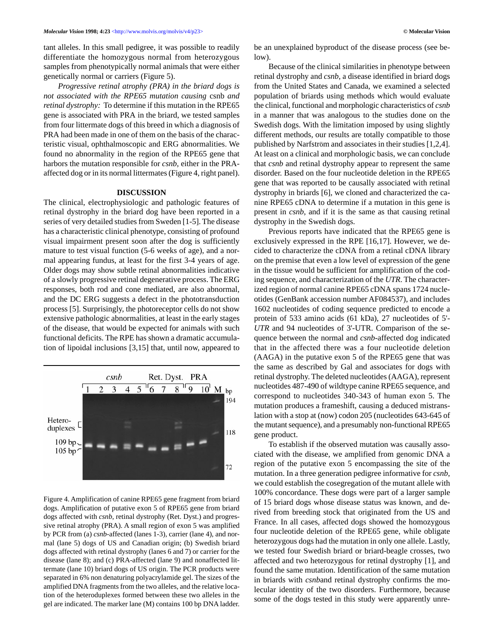tant alleles. In this small pedigree, it was possible to readily differentiate the homozygous normal from heterozygous samples from phenotypically normal animals that were either genetically normal or carriers (Figure 5).

*Progressive retinal atrophy (PRA) in the briard dogs is not associated with the RPE65 mutation causing* csnb *and retinal dystrophy:* To determine if this mutation in the RPE65 gene is associated with PRA in the briard, we tested samples from four littermate dogs of this breed in which a diagnosis of PRA had been made in one of them on the basis of the characteristic visual, ophthalmoscopic and ERG abnormalities. We found no abnormality in the region of the RPE65 gene that harbors the mutation responsible for *csnb*, either in the PRAaffected dog or in its normal littermates (Figure 4, right panel).

#### **DISCUSSION**

The clinical, electrophysiologic and pathologic features of retinal dystrophy in the briard dog have been reported in a series of very detailed studies from Sweden [1-5]. The disease has a characteristic clinical phenotype, consisting of profound visual impairment present soon after the dog is sufficiently mature to test visual function (5-6 weeks of age), and a normal appearing fundus, at least for the first 3-4 years of age. Older dogs may show subtle retinal abnormalities indicative of a slowly progressive retinal degenerative process. The ERG responses, both rod and cone mediated, are also abnormal, and the DC ERG suggests a defect in the phototransduction process [5]. Surprisingly, the photoreceptor cells do not show extensive pathologic abnormalities, at least in the early stages of the disease, that would be expected for animals with such functional deficits. The RPE has shown a dramatic accumulation of lipoidal inclusions [3,15] that, until now, appeared to



Figure 4. Amplification of canine RPE65 gene fragment from briard dogs. Amplification of putative exon 5 of RPE65 gene from briard dogs affected with *csnb*, retinal dystrophy (Ret. Dyst.) and progressive retinal atrophy (PRA). A small region of exon 5 was amplified by PCR from (a) *csnb*-affected (lanes 1-3), carrier (lane 4), and normal (lane 5) dogs of US and Canadian origin; (b) Swedish briard dogs affected with retinal dystrophy (lanes 6 and 7) or carrier for the disease (lane 8); and (c) PRA-affected (lane 9) and nonaffected littermate (lane 10) briard dogs of US origin. The PCR products were separated in 6% non denaturing polyacrylamide gel. The sizes of the amplified DNA fragments from the two alleles, and the relative location of the heteroduplexes formed between these two alleles in the gel are indicated. The marker lane (M) contains 100 bp DNA ladder.

be an unexplained byproduct of the disease process (see below).

Because of the clinical similarities in phenotype between retinal dystrophy and *csnb*, a disease identified in briard dogs from the United States and Canada, we examined a selected population of briards using methods which would evaluate the clinical, functional and morphologic characteristics of *csnb* in a manner that was analogous to the studies done on the Swedish dogs. With the limitation imposed by using slightly different methods, our results are totally compatible to those published by Narfström and associates in their studies [1,2,4]. At least on a clinical and morphologic basis, we can conclude that *csnb* and retinal dystrophy appear to represent the same disorder. Based on the four nucleotide deletion in the RPE65 gene that was reported to be causally associated with retinal dystrophy in briards [6], we cloned and characterized the canine RPE65 cDNA to determine if a mutation in this gene is present in *csnb*, and if it is the same as that causing retinal dystrophy in the Swedish dogs.

Previous reports have indicated that the RPE65 gene is exclusively expressed in the RPE [16,17]. However, we decided to characterize the cDNA from a retinal cDNA library on the premise that even a low level of expression of the gene in the tissue would be sufficient for amplification of the coding sequence, and characterization of the *UTR*. The characterized region of normal canine RPE65 cDNA spans 1724 nucleotides (GenBank accession number AF084537), and includes 1602 nucleotides of coding sequence predicted to encode a protein of 533 amino acids (61 kDa), 27 nucleotides of 5'- *UTR* and 94 nucleotides of 3'-UTR. Comparison of the sequence between the normal and *csnb*-affected dog indicated that in the affected there was a four nucleotide deletion (AAGA) in the putative exon 5 of the RPE65 gene that was the same as described by Gal and associates for dogs with retinal dystrophy. The deleted nucleotides (AAGA), represent nucleotides 487-490 of wildtype canine RPE65 sequence, and correspond to nucleotides 340-343 of human exon 5. The mutation produces a frameshift, causing a deduced mistranslation with a stop at (now) codon 205 (nucleotides 643-645 of the mutant sequence), and a presumably non-functional RPE65 gene product.

To establish if the observed mutation was causally associated with the disease, we amplified from genomic DNA a region of the putative exon 5 encompassing the site of the mutation. In a three generation pedigree informative for *csnb*, we could establish the cosegregation of the mutant allele with 100% concordance. These dogs were part of a larger sample of 15 briard dogs whose disease status was known, and derived from breeding stock that originated from the US and France. In all cases, affected dogs showed the homozygous four nucleotide deletion of the RPE65 gene, while obligate heterozygous dogs had the mutation in only one allele. Lastly, we tested four Swedish briard or briard-beagle crosses, two affected and two heterozygous for retinal dystrophy [1], and found the same mutation. Identification of the same mutation in briards with *csnb*and retinal dystrophy confirms the molecular identity of the two disorders. Furthermore, because some of the dogs tested in this study were apparently unre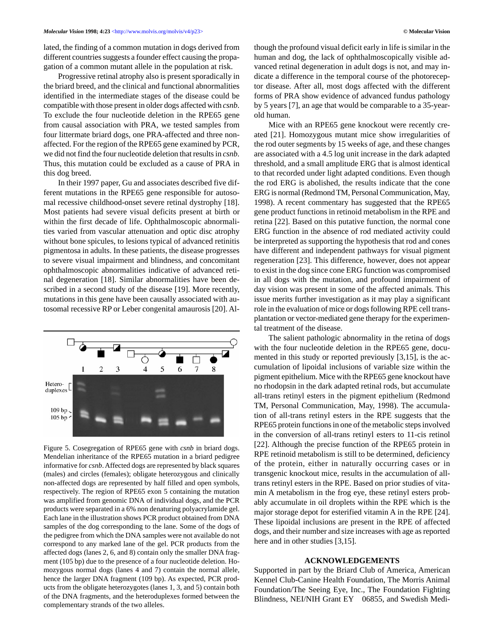lated, the finding of a common mutation in dogs derived from different countries suggests a founder effect causing the propagation of a common mutant allele in the population at risk.

Progressive retinal atrophy also is present sporadically in the briard breed, and the clinical and functional abnormalities identified in the intermediate stages of the disease could be compatible with those present in older dogs affected with *csnb*. To exclude the four nucleotide deletion in the RPE65 gene from causal association with PRA, we tested samples from four littermate briard dogs, one PRA-affected and three nonaffected. For the region of the RPE65 gene examined by PCR, we did not find the four nucleotide deletion that results in *csnb*. Thus, this mutation could be excluded as a cause of PRA in this dog breed.

In their 1997 paper, Gu and associates described five different mutations in the RPE65 gene responsible for autosomal recessive childhood-onset severe retinal dystrophy [18]. Most patients had severe visual deficits present at birth or within the first decade of life. Ophthalmoscopic abnormalities varied from vascular attenuation and optic disc atrophy without bone spicules, to lesions typical of advanced retinitis pigmentosa in adults. In these patients, the disease progresses to severe visual impairment and blindness, and concomitant ophthalmoscopic abnormalities indicative of advanced retinal degeneration [18]. Similar abnormalities have been described in a second study of the disease [19]. More recently, mutations in this gene have been causally associated with autosomal recessive RP or Leber congenital amaurosis [20]. Al-



Figure 5. Cosegregation of RPE65 gene with *csnb* in briard dogs. Mendelian inheritance of the RPE65 mutation in a briard pedigree informative for *csnb*. Affected dogs are represented by black squares (males) and circles (females); obligate heterozygous and clinically non-affected dogs are represented by half filled and open symbols, respectively. The region of RPE65 exon 5 containing the mutation was amplified from genomic DNA of individual dogs, and the PCR products were separated in a 6% non denaturing polyacrylamide gel. Each lane in the illustration shows PCR product obtained from DNA samples of the dog corresponding to the lane. Some of the dogs of the pedigree from which the DNA samples were not available do not correspond to any marked lane of the gel. PCR products from the affected dogs (lanes 2, 6, and 8) contain only the smaller DNA fragment (105 bp) due to the presence of a four nucleotide deletion. Homozygous normal dogs (lanes 4 and 7) contain the normal allele, hence the larger DNA fragment (109 bp). As expected, PCR products from the obligate heterozygotes (lanes 1, 3, and 5) contain both of the DNA fragments, and the heteroduplexes formed between the complementary strands of the two alleles.

though the profound visual deficit early in life is similar in the human and dog, the lack of ophthalmoscopically visible advanced retinal degeneration in adult dogs is not, and may indicate a difference in the temporal course of the photoreceptor disease. After all, most dogs affected with the different forms of PRA show evidence of advanced fundus pathology by 5 years [7], an age that would be comparable to a 35-yearold human.

Mice with an RPE65 gene knockout were recently created [21]. Homozygous mutant mice show irregularities of the rod outer segments by 15 weeks of age, and these changes are associated with a 4.5 log unit increase in the dark adapted threshold, and a small amplitude ERG that is almost identical to that recorded under light adapted conditions. Even though the rod ERG is abolished, the results indicate that the cone ERG is normal (Redmond TM, Personal Communication, May, 1998). A recent commentary has suggested that the RPE65 gene product functions in retinoid metabolism in the RPE and retina [22]. Based on this putative function, the normal cone ERG function in the absence of rod mediated activity could be interpreted as supporting the hypothesis that rod and cones have different and independent pathways for visual pigment regeneration [23]. This difference, however, does not appear to exist in the dog since cone ERG function was compromised in all dogs with the mutation, and profound impairment of day vision was present in some of the affected animals. This issue merits further investigation as it may play a significant role in the evaluation of mice or dogs following RPE cell transplantation or vector-mediated gene therapy for the experimental treatment of the disease.

The salient pathologic abnormality in the retina of dogs with the four nucleotide deletion in the RPE65 gene, documented in this study or reported previously [3,15], is the accumulation of lipoidal inclusions of variable size within the pigment epithelium. Mice with the RPE65 gene knockout have no rhodopsin in the dark adapted retinal rods, but accumulate all-trans retinyl esters in the pigment epithelium (Redmond TM, Personal Communication, May, 1998). The accumulation of all-trans retinyl esters in the RPE suggests that the RPE65 protein functions in one of the metabolic steps involved in the conversion of all-trans retinyl esters to 11-cis retinol [22]. Although the precise function of the RPE65 protein in RPE retinoid metabolism is still to be determined, deficiency of the protein, either in naturally occurring cases or in transgenic knockout mice, results in the accumulation of alltrans retinyl esters in the RPE. Based on prior studies of vitamin A metabolism in the frog eye, these retinyl esters probably accumulate in oil droplets within the RPE which is the major storage depot for esterified vitamin A in the RPE [24]. These lipoidal inclusions are present in the RPE of affected dogs, and their number and size increases with age as reported here and in other studies [3,15].

#### **ACKNOWLEDGEMENTS**

Supported in part by the Briard Club of America, American Kennel Club-Canine Health Foundation, The Morris Animal Foundation/The Seeing Eye, Inc., The Foundation Fighting Blindness, NEI/NIH Grant EY 06855, and Swedish Medi